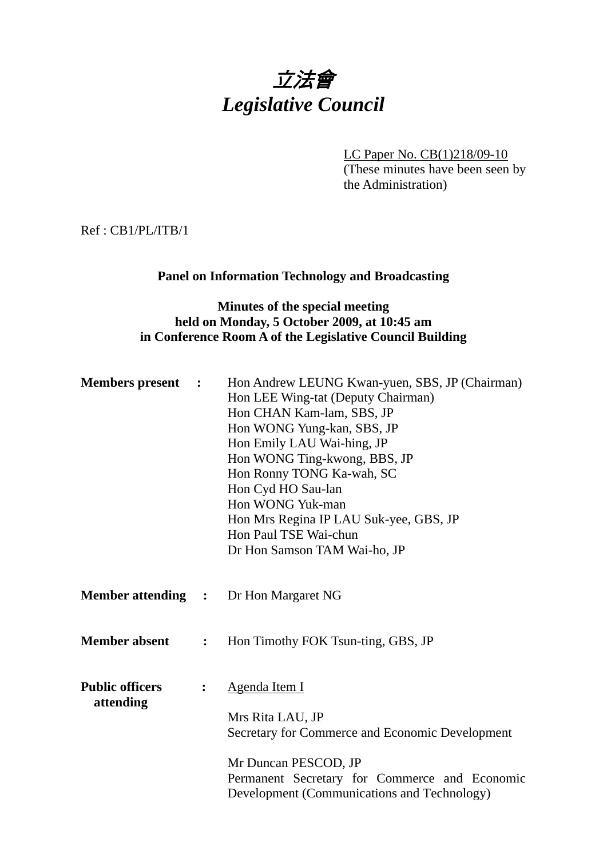# 立法會 *Legislative Council*

LC Paper No. CB(1)218/09-10 (These minutes have been seen by the Administration)

Ref : CB1/PL/ITB/1

## **Panel on Information Technology and Broadcasting**

#### **Minutes of the special meeting held on Monday, 5 October 2009, at 10:45 am in Conference Room A of the Legislative Council Building**

| <b>Members</b> present<br>$\ddot{\phantom{1}}$ |                | Hon Andrew LEUNG Kwan-yuen, SBS, JP (Chairman)<br>Hon LEE Wing-tat (Deputy Chairman)<br>Hon CHAN Kam-lam, SBS, JP<br>Hon WONG Yung-kan, SBS, JP<br>Hon Emily LAU Wai-hing, JP<br>Hon WONG Ting-kwong, BBS, JP<br>Hon Ronny TONG Ka-wah, SC<br>Hon Cyd HO Sau-lan<br>Hon WONG Yuk-man<br>Hon Mrs Regina IP LAU Suk-yee, GBS, JP<br>Hon Paul TSE Wai-chun<br>Dr Hon Samson TAM Wai-ho, JP |  |
|------------------------------------------------|----------------|-----------------------------------------------------------------------------------------------------------------------------------------------------------------------------------------------------------------------------------------------------------------------------------------------------------------------------------------------------------------------------------------|--|
|                                                |                | <b>Member attending : Dr Hon Margaret NG</b>                                                                                                                                                                                                                                                                                                                                            |  |
| <b>Member absent</b>                           | $\ddot{\cdot}$ | Hon Timothy FOK Tsun-ting, GBS, JP                                                                                                                                                                                                                                                                                                                                                      |  |
| <b>Public officers</b><br>attending            | :              | Agenda Item I<br>Mrs Rita LAU, JP<br>Secretary for Commerce and Economic Development<br>Mr Duncan PESCOD, JP<br>Permanent Secretary for Commerce and Economic<br>Development (Communications and Technology)                                                                                                                                                                            |  |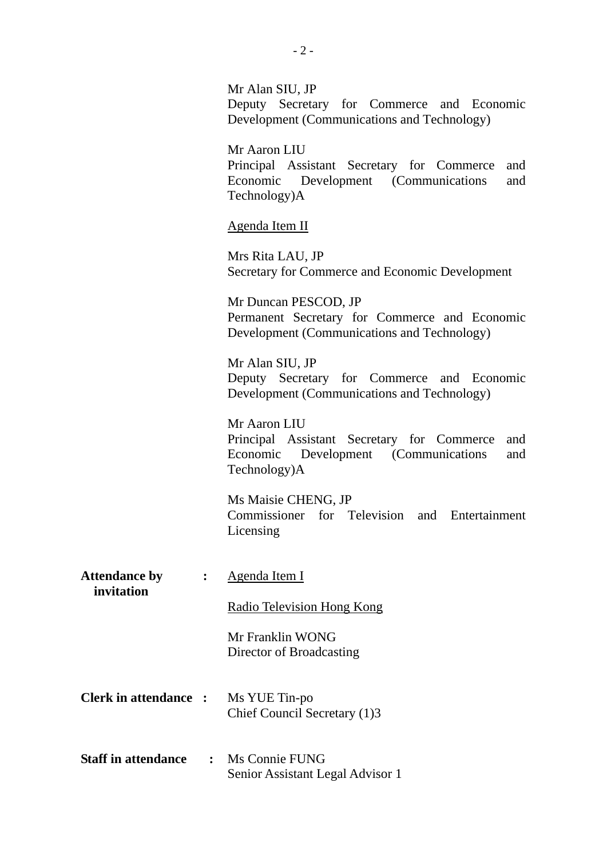|                                    |                | Mr Alan SIU, JP<br>Deputy Secretary for Commerce and Economic<br>Development (Communications and Technology)                     |
|------------------------------------|----------------|----------------------------------------------------------------------------------------------------------------------------------|
|                                    |                | Mr Aaron LIU<br>Principal Assistant Secretary for Commerce<br>and<br>Economic Development (Communications<br>and<br>Technology)A |
|                                    |                | Agenda Item II                                                                                                                   |
|                                    |                | Mrs Rita LAU, JP<br>Secretary for Commerce and Economic Development                                                              |
|                                    |                | Mr Duncan PESCOD, JP<br>Permanent Secretary for Commerce and Economic<br>Development (Communications and Technology)             |
|                                    |                | Mr Alan SIU, JP<br>Deputy Secretary for Commerce and Economic<br>Development (Communications and Technology)                     |
|                                    |                | Mr Aaron LIU<br>Principal Assistant Secretary for Commerce<br>and<br>Economic Development (Communications<br>and<br>Technology)A |
|                                    |                | Ms Maisie CHENG, JP<br>Commissioner for Television<br>and Entertainment<br>Licensing                                             |
| <b>Attendance by</b><br>invitation | $\ddot{\cdot}$ | Agenda Item I                                                                                                                    |
|                                    |                | <b>Radio Television Hong Kong</b>                                                                                                |
|                                    |                | Mr Franklin WONG<br>Director of Broadcasting                                                                                     |
| <b>Clerk in attendance :</b>       |                | Ms YUE Tin-po<br>Chief Council Secretary (1)3                                                                                    |
| <b>Staff in attendance</b>         | $\ddot{\cdot}$ | Ms Connie FUNG<br>Senior Assistant Legal Advisor 1                                                                               |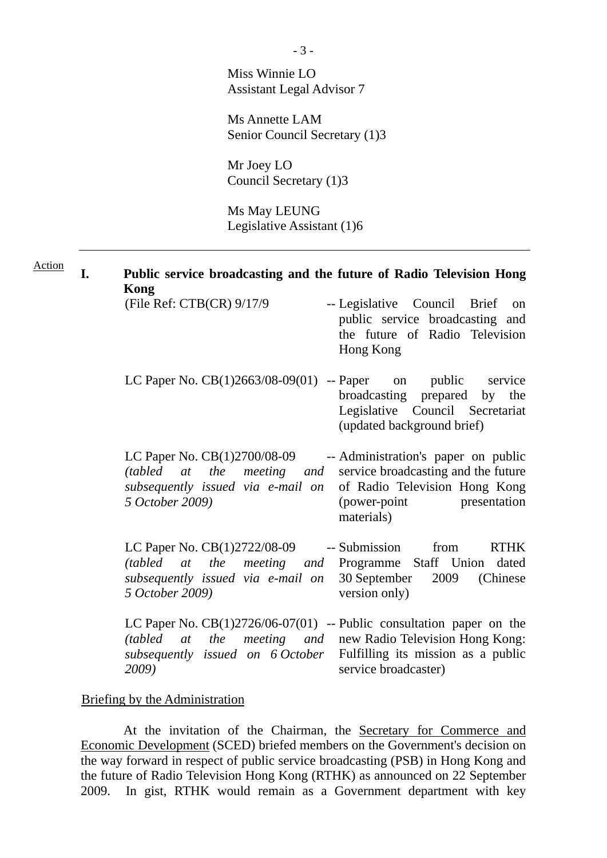Miss Winnie LO Assistant Legal Advisor 7

Ms Annette LAM Senior Council Secretary (1)3

Mr Joey LO Council Secretary (1)3

Ms May LEUNG Legislative Assistant (1)6

| <b>Action</b> | I. | Public service broadcasting and the future of Radio Television Hong<br>Kong                                                                         |                                                                                                                                                            |  |  |  |  |  |  |  |
|---------------|----|-----------------------------------------------------------------------------------------------------------------------------------------------------|------------------------------------------------------------------------------------------------------------------------------------------------------------|--|--|--|--|--|--|--|
|               |    | (File Ref: CTB(CR) 9/17/9                                                                                                                           | -- Legislative Council Brief<br>on<br>public service broadcasting and<br>the future of Radio Television<br>Hong Kong                                       |  |  |  |  |  |  |  |
|               |    | LC Paper No. $CB(1)2663/08-09(01)$ -- Paper                                                                                                         | on public service<br>broadcasting prepared by the<br>Legislative Council Secretariat<br>(updated background brief)                                         |  |  |  |  |  |  |  |
|               |    | LC Paper No. CB(1)2700/08-09<br>(tabled at the meeting and<br>subsequently issued via e-mail on<br>5 October 2009)                                  | -- Administration's paper on public<br>service broadcasting and the future<br>of Radio Television Hong Kong<br>(power-point)<br>presentation<br>materials) |  |  |  |  |  |  |  |
|               |    | LC Paper No. CB(1)2722/08-09<br>(tabled at the meeting and Programme Staff Union dated<br>subsequently issued via e-mail on<br>5 October 2009)      | -- Submission<br>from<br><b>RTHK</b><br>30 September<br>2009<br>(Chinese)<br>version only)                                                                 |  |  |  |  |  |  |  |
|               |    | LC Paper No. $CB(1)2726/06-07(01)$ -- Public consultation paper on the<br>the<br>(tabled)<br><i>at</i><br>subsequently issued on 6 October<br>2009) | <i>meeting and new Radio Television Hong Kong:</i><br>Fulfilling its mission as a public<br>service broadcaster)                                           |  |  |  |  |  |  |  |

## Briefing by the Administration

 At the invitation of the Chairman, the Secretary for Commerce and Economic Development (SCED) briefed members on the Government's decision on the way forward in respect of public service broadcasting (PSB) in Hong Kong and the future of Radio Television Hong Kong (RTHK) as announced on 22 September 2009. In gist, RTHK would remain as a Government department with key

- 3 -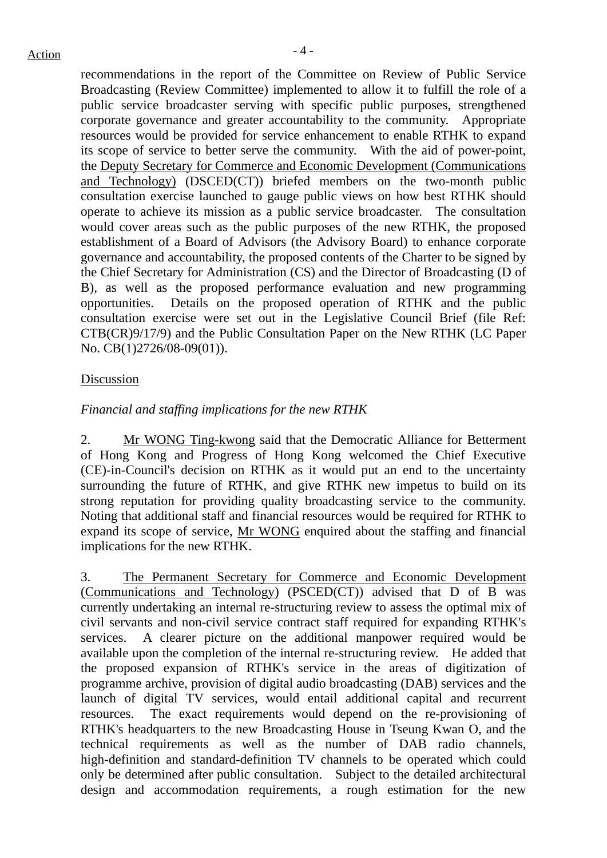recommendations in the report of the Committee on Review of Public Service Broadcasting (Review Committee) implemented to allow it to fulfill the role of a public service broadcaster serving with specific public purposes, strengthened corporate governance and greater accountability to the community. Appropriate resources would be provided for service enhancement to enable RTHK to expand its scope of service to better serve the community. With the aid of power-point, the Deputy Secretary for Commerce and Economic Development (Communications and Technology) (DSCED(CT)) briefed members on the two-month public consultation exercise launched to gauge public views on how best RTHK should operate to achieve its mission as a public service broadcaster. The consultation would cover areas such as the public purposes of the new RTHK, the proposed establishment of a Board of Advisors (the Advisory Board) to enhance corporate governance and accountability, the proposed contents of the Charter to be signed by the Chief Secretary for Administration (CS) and the Director of Broadcasting (D of B), as well as the proposed performance evaluation and new programming opportunities. Details on the proposed operation of RTHK and the public consultation exercise were set out in the Legislative Council Brief (file Ref: CTB(CR)9/17/9) and the Public Consultation Paper on the New RTHK (LC Paper No. CB(1)2726/08-09(01)).

#### Discussion

#### *Financial and staffing implications for the new RTHK*

2. Mr WONG Ting-kwong said that the Democratic Alliance for Betterment of Hong Kong and Progress of Hong Kong welcomed the Chief Executive (CE)-in-Council's decision on RTHK as it would put an end to the uncertainty surrounding the future of RTHK, and give RTHK new impetus to build on its strong reputation for providing quality broadcasting service to the community. Noting that additional staff and financial resources would be required for RTHK to expand its scope of service, Mr WONG enquired about the staffing and financial implications for the new RTHK.

3. The Permanent Secretary for Commerce and Economic Development (Communications and Technology) (PSCED(CT)) advised that D of B was currently undertaking an internal re-structuring review to assess the optimal mix of civil servants and non-civil service contract staff required for expanding RTHK's services. A clearer picture on the additional manpower required would be available upon the completion of the internal re-structuring review. He added that the proposed expansion of RTHK's service in the areas of digitization of programme archive, provision of digital audio broadcasting (DAB) services and the launch of digital TV services, would entail additional capital and recurrent resources. The exact requirements would depend on the re-provisioning of RTHK's headquarters to the new Broadcasting House in Tseung Kwan O, and the technical requirements as well as the number of DAB radio channels, high-definition and standard-definition TV channels to be operated which could only be determined after public consultation. Subject to the detailed architectural design and accommodation requirements, a rough estimation for the new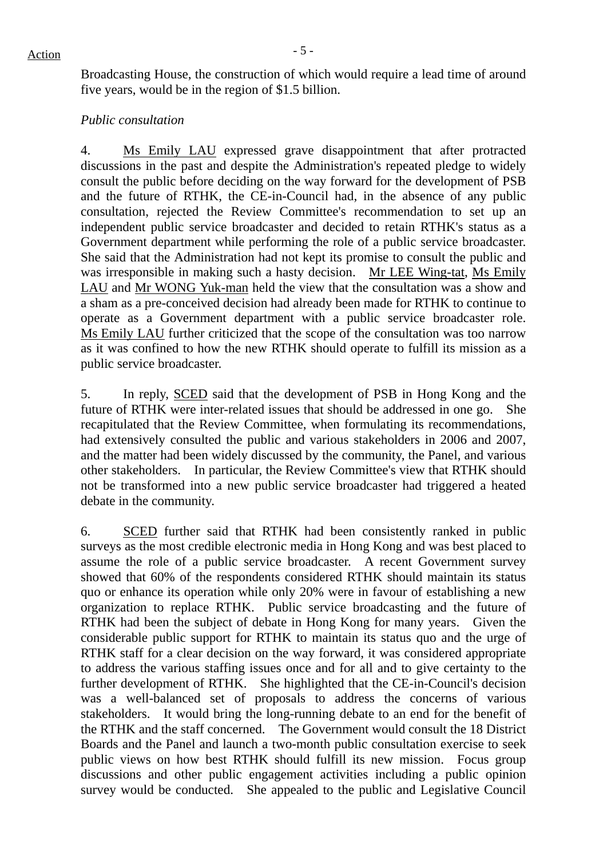Broadcasting House, the construction of which would require a lead time of around five years, would be in the region of \$1.5 billion.

#### *Public consultation*

4. Ms Emily LAU expressed grave disappointment that after protracted discussions in the past and despite the Administration's repeated pledge to widely consult the public before deciding on the way forward for the development of PSB and the future of RTHK, the CE-in-Council had, in the absence of any public consultation, rejected the Review Committee's recommendation to set up an independent public service broadcaster and decided to retain RTHK's status as a Government department while performing the role of a public service broadcaster. She said that the Administration had not kept its promise to consult the public and was irresponsible in making such a hasty decision. Mr LEE Wing-tat, Ms Emily LAU and Mr WONG Yuk-man held the view that the consultation was a show and a sham as a pre-conceived decision had already been made for RTHK to continue to operate as a Government department with a public service broadcaster role. Ms Emily LAU further criticized that the scope of the consultation was too narrow as it was confined to how the new RTHK should operate to fulfill its mission as a public service broadcaster.

5. In reply, SCED said that the development of PSB in Hong Kong and the future of RTHK were inter-related issues that should be addressed in one go. She recapitulated that the Review Committee, when formulating its recommendations, had extensively consulted the public and various stakeholders in 2006 and 2007, and the matter had been widely discussed by the community, the Panel, and various other stakeholders. In particular, the Review Committee's view that RTHK should not be transformed into a new public service broadcaster had triggered a heated debate in the community.

6. SCED further said that RTHK had been consistently ranked in public surveys as the most credible electronic media in Hong Kong and was best placed to assume the role of a public service broadcaster. A recent Government survey showed that 60% of the respondents considered RTHK should maintain its status quo or enhance its operation while only 20% were in favour of establishing a new organization to replace RTHK. Public service broadcasting and the future of RTHK had been the subject of debate in Hong Kong for many years. Given the considerable public support for RTHK to maintain its status quo and the urge of RTHK staff for a clear decision on the way forward, it was considered appropriate to address the various staffing issues once and for all and to give certainty to the further development of RTHK. She highlighted that the CE-in-Council's decision was a well-balanced set of proposals to address the concerns of various stakeholders. It would bring the long-running debate to an end for the benefit of the RTHK and the staff concerned. The Government would consult the 18 District Boards and the Panel and launch a two-month public consultation exercise to seek public views on how best RTHK should fulfill its new mission. Focus group discussions and other public engagement activities including a public opinion survey would be conducted. She appealed to the public and Legislative Council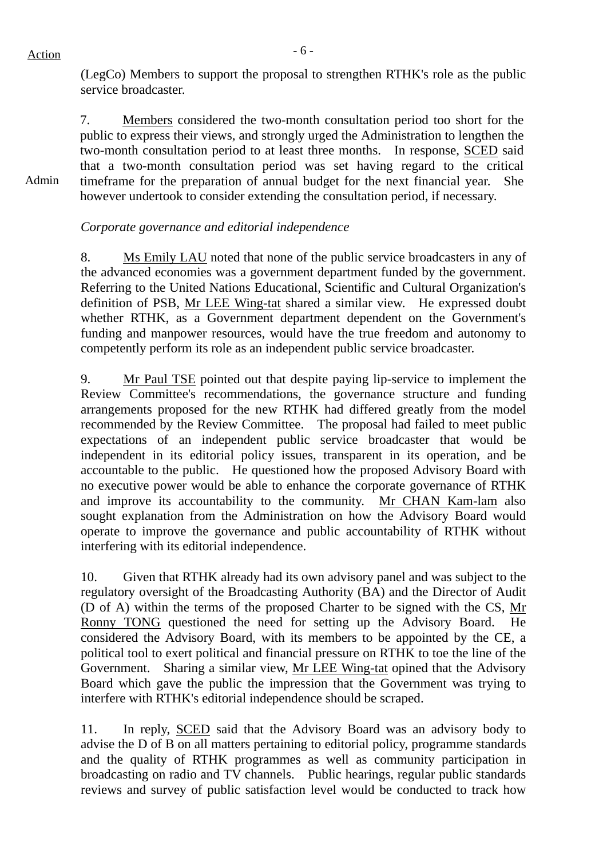## $Action$

Admin

(LegCo) Members to support the proposal to strengthen RTHK's role as the public service broadcaster.

7. Members considered the two-month consultation period too short for the public to express their views, and strongly urged the Administration to lengthen the two-month consultation period to at least three months. In response, SCED said that a two-month consultation period was set having regard to the critical timeframe for the preparation of annual budget for the next financial year. She however undertook to consider extending the consultation period, if necessary.

## *Corporate governance and editorial independence*

8. Ms Emily LAU noted that none of the public service broadcasters in any of the advanced economies was a government department funded by the government. Referring to the United Nations Educational, Scientific and Cultural Organization's definition of PSB, Mr LEE Wing-tat shared a similar view. He expressed doubt whether RTHK, as a Government department dependent on the Government's funding and manpower resources, would have the true freedom and autonomy to competently perform its role as an independent public service broadcaster.

9. Mr Paul TSE pointed out that despite paying lip-service to implement the Review Committee's recommendations, the governance structure and funding arrangements proposed for the new RTHK had differed greatly from the model recommended by the Review Committee. The proposal had failed to meet public expectations of an independent public service broadcaster that would be independent in its editorial policy issues, transparent in its operation, and be accountable to the public. He questioned how the proposed Advisory Board with no executive power would be able to enhance the corporate governance of RTHK and improve its accountability to the community. Mr CHAN Kam-lam also sought explanation from the Administration on how the Advisory Board would operate to improve the governance and public accountability of RTHK without interfering with its editorial independence.

10. Given that RTHK already had its own advisory panel and was subject to the regulatory oversight of the Broadcasting Authority (BA) and the Director of Audit (D of A) within the terms of the proposed Charter to be signed with the CS, Mr Ronny TONG questioned the need for setting up the Advisory Board. He considered the Advisory Board, with its members to be appointed by the CE, a political tool to exert political and financial pressure on RTHK to toe the line of the Government. Sharing a similar view, Mr LEE Wing-tat opined that the Advisory Board which gave the public the impression that the Government was trying to interfere with RTHK's editorial independence should be scraped.

11. In reply, SCED said that the Advisory Board was an advisory body to advise the D of B on all matters pertaining to editorial policy, programme standards and the quality of RTHK programmes as well as community participation in broadcasting on radio and TV channels. Public hearings, regular public standards reviews and survey of public satisfaction level would be conducted to track how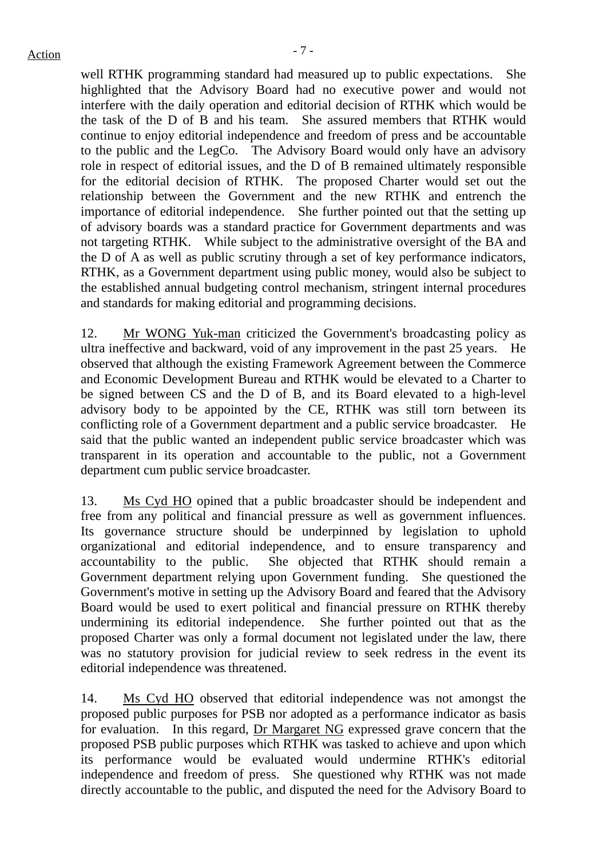$Action$ 

well RTHK programming standard had measured up to public expectations. She highlighted that the Advisory Board had no executive power and would not interfere with the daily operation and editorial decision of RTHK which would be the task of the D of B and his team. She assured members that RTHK would continue to enjoy editorial independence and freedom of press and be accountable to the public and the LegCo. The Advisory Board would only have an advisory role in respect of editorial issues, and the D of B remained ultimately responsible for the editorial decision of RTHK. The proposed Charter would set out the relationship between the Government and the new RTHK and entrench the importance of editorial independence. She further pointed out that the setting up of advisory boards was a standard practice for Government departments and was not targeting RTHK. While subject to the administrative oversight of the BA and the D of A as well as public scrutiny through a set of key performance indicators, RTHK, as a Government department using public money, would also be subject to the established annual budgeting control mechanism, stringent internal procedures and standards for making editorial and programming decisions.

12. Mr WONG Yuk-man criticized the Government's broadcasting policy as ultra ineffective and backward, void of any improvement in the past 25 years. He observed that although the existing Framework Agreement between the Commerce and Economic Development Bureau and RTHK would be elevated to a Charter to be signed between CS and the D of B, and its Board elevated to a high-level advisory body to be appointed by the CE, RTHK was still torn between its conflicting role of a Government department and a public service broadcaster. He said that the public wanted an independent public service broadcaster which was transparent in its operation and accountable to the public, not a Government department cum public service broadcaster.

13. Ms Cyd HO opined that a public broadcaster should be independent and free from any political and financial pressure as well as government influences. Its governance structure should be underpinned by legislation to uphold organizational and editorial independence, and to ensure transparency and accountability to the public. She objected that RTHK should remain a Government department relying upon Government funding. She questioned the Government's motive in setting up the Advisory Board and feared that the Advisory Board would be used to exert political and financial pressure on RTHK thereby undermining its editorial independence. She further pointed out that as the proposed Charter was only a formal document not legislated under the law, there was no statutory provision for judicial review to seek redress in the event its editorial independence was threatened.

14. Ms Cyd HO observed that editorial independence was not amongst the proposed public purposes for PSB nor adopted as a performance indicator as basis for evaluation. In this regard, Dr Margaret NG expressed grave concern that the proposed PSB public purposes which RTHK was tasked to achieve and upon which its performance would be evaluated would undermine RTHK's editorial independence and freedom of press. She questioned why RTHK was not made directly accountable to the public, and disputed the need for the Advisory Board to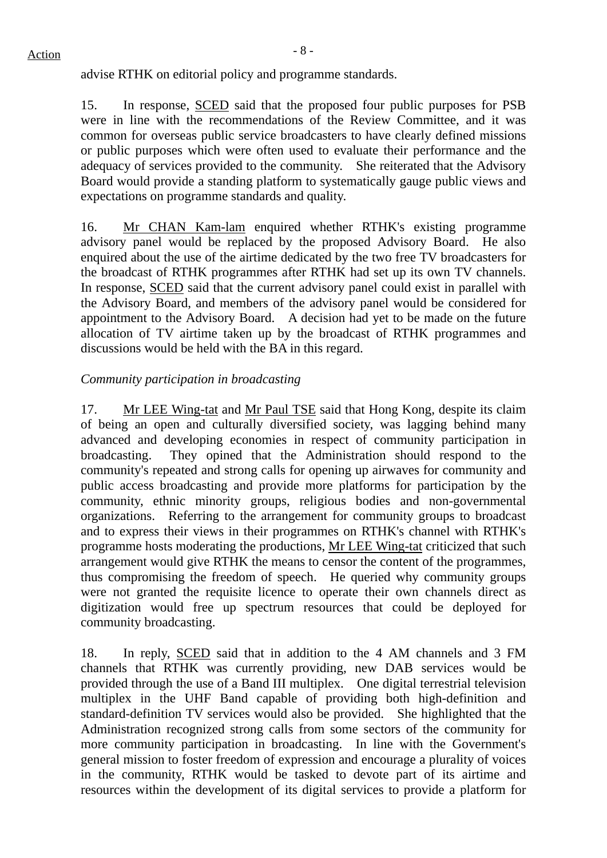advise RTHK on editorial policy and programme standards.

15. In response, SCED said that the proposed four public purposes for PSB were in line with the recommendations of the Review Committee, and it was common for overseas public service broadcasters to have clearly defined missions or public purposes which were often used to evaluate their performance and the adequacy of services provided to the community. She reiterated that the Advisory Board would provide a standing platform to systematically gauge public views and expectations on programme standards and quality.

16. Mr CHAN Kam-lam enquired whether RTHK's existing programme advisory panel would be replaced by the proposed Advisory Board. He also enquired about the use of the airtime dedicated by the two free TV broadcasters for the broadcast of RTHK programmes after RTHK had set up its own TV channels. In response, SCED said that the current advisory panel could exist in parallel with the Advisory Board, and members of the advisory panel would be considered for appointment to the Advisory Board. A decision had yet to be made on the future allocation of TV airtime taken up by the broadcast of RTHK programmes and discussions would be held with the BA in this regard.

## *Community participation in broadcasting*

17. Mr LEE Wing-tat and Mr Paul TSE said that Hong Kong, despite its claim of being an open and culturally diversified society, was lagging behind many advanced and developing economies in respect of community participation in broadcasting. They opined that the Administration should respond to the community's repeated and strong calls for opening up airwaves for community and public access broadcasting and provide more platforms for participation by the community, ethnic minority groups, religious bodies and non-governmental organizations. Referring to the arrangement for community groups to broadcast and to express their views in their programmes on RTHK's channel with RTHK's programme hosts moderating the productions, Mr LEE Wing-tat criticized that such arrangement would give RTHK the means to censor the content of the programmes, thus compromising the freedom of speech. He queried why community groups were not granted the requisite licence to operate their own channels direct as digitization would free up spectrum resources that could be deployed for community broadcasting.

18. In reply, SCED said that in addition to the 4 AM channels and 3 FM channels that RTHK was currently providing, new DAB services would be provided through the use of a Band III multiplex. One digital terrestrial television multiplex in the UHF Band capable of providing both high-definition and standard-definition TV services would also be provided. She highlighted that the Administration recognized strong calls from some sectors of the community for more community participation in broadcasting. In line with the Government's general mission to foster freedom of expression and encourage a plurality of voices in the community, RTHK would be tasked to devote part of its airtime and resources within the development of its digital services to provide a platform for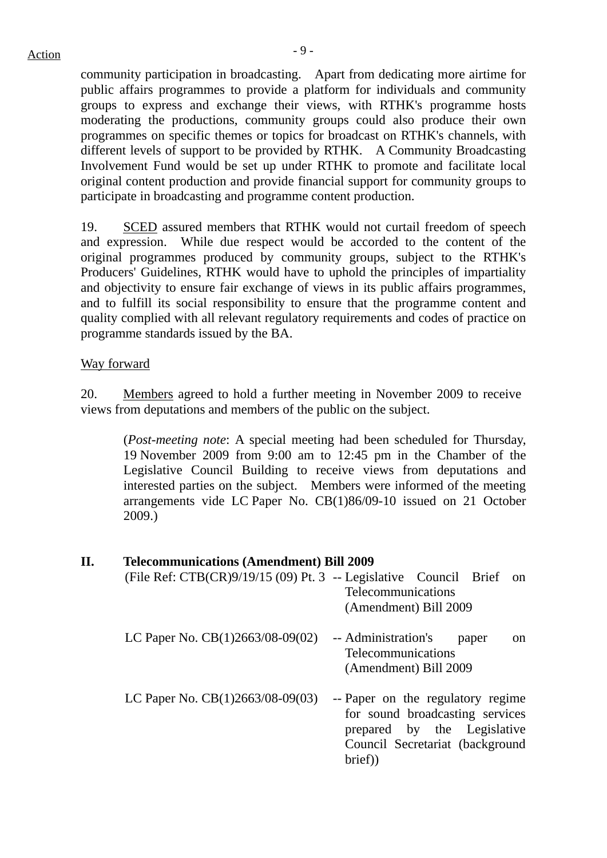community participation in broadcasting. Apart from dedicating more airtime for public affairs programmes to provide a platform for individuals and community groups to express and exchange their views, with RTHK's programme hosts moderating the productions, community groups could also produce their own programmes on specific themes or topics for broadcast on RTHK's channels, with different levels of support to be provided by RTHK. A Community Broadcasting Involvement Fund would be set up under RTHK to promote and facilitate local original content production and provide financial support for community groups to participate in broadcasting and programme content production.

19. SCED assured members that RTHK would not curtail freedom of speech and expression. While due respect would be accorded to the content of the original programmes produced by community groups, subject to the RTHK's Producers' Guidelines, RTHK would have to uphold the principles of impartiality and objectivity to ensure fair exchange of views in its public affairs programmes, and to fulfill its social responsibility to ensure that the programme content and quality complied with all relevant regulatory requirements and codes of practice on programme standards issued by the BA.

#### Way forward

20. Members agreed to hold a further meeting in November 2009 to receive views from deputations and members of the public on the subject.

(*Post-meeting note*: A special meeting had been scheduled for Thursday, 19 November 2009 from 9:00 am to 12:45 pm in the Chamber of the Legislative Council Building to receive views from deputations and interested parties on the subject. Members were informed of the meeting arrangements vide LC Paper No. CB(1)86/09-10 issued on 21 October 2009.)

#### **II. Telecommunications (Amendment) Bill 2009**

| (File Ref: CTB(CR)9/19/15 (09) Pt. 3 -- Legislative Council Brief | <sub>on</sub><br>Telecommunications<br>(Amendment) Bill 2009                                                                                     |
|-------------------------------------------------------------------|--------------------------------------------------------------------------------------------------------------------------------------------------|
| LC Paper No. $CB(1)2663/08-09(02)$                                | -- Administration's<br>paper<br>on<br>Telecommunications<br>(Amendment) Bill 2009                                                                |
| LC Paper No. $CB(1)2663/08-09(03)$                                | -- Paper on the regulatory regime<br>for sound broadcasting services<br>prepared by the Legislative<br>Council Secretariat (background<br>brief) |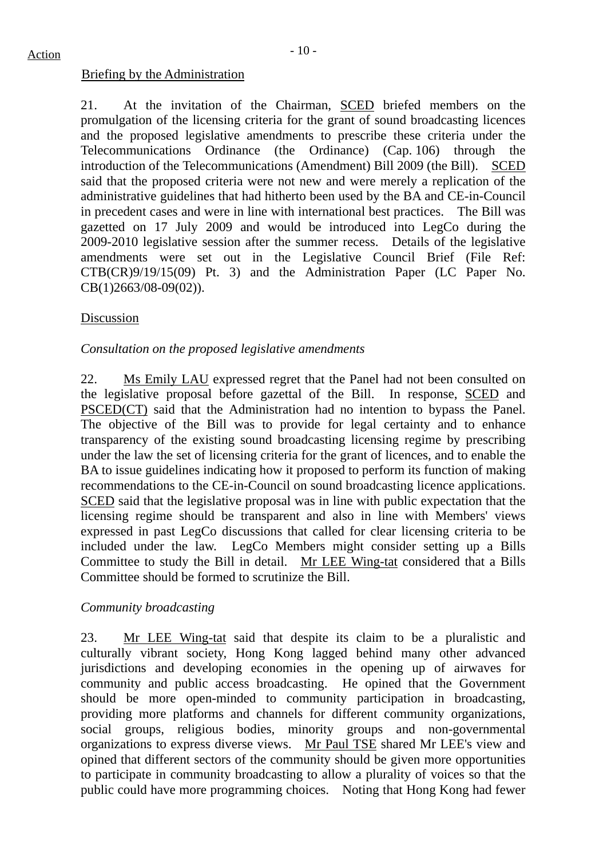21. At the invitation of the Chairman, SCED briefed members on the promulgation of the licensing criteria for the grant of sound broadcasting licences and the proposed legislative amendments to prescribe these criteria under the Telecommunications Ordinance (the Ordinance) (Cap. 106) through the introduction of the Telecommunications (Amendment) Bill 2009 (the Bill). SCED said that the proposed criteria were not new and were merely a replication of the administrative guidelines that had hitherto been used by the BA and CE-in-Council in precedent cases and were in line with international best practices. The Bill was gazetted on 17 July 2009 and would be introduced into LegCo during the 2009-2010 legislative session after the summer recess. Details of the legislative amendments were set out in the Legislative Council Brief (File Ref: CTB(CR)9/19/15(09) Pt. 3) and the Administration Paper (LC Paper No. CB(1)2663/08-09(02)).

#### Discussion

#### *Consultation on the proposed legislative amendments*

22. Ms Emily LAU expressed regret that the Panel had not been consulted on the legislative proposal before gazettal of the Bill. In response, SCED and PSCED(CT) said that the Administration had no intention to bypass the Panel. The objective of the Bill was to provide for legal certainty and to enhance transparency of the existing sound broadcasting licensing regime by prescribing under the law the set of licensing criteria for the grant of licences, and to enable the BA to issue guidelines indicating how it proposed to perform its function of making recommendations to the CE-in-Council on sound broadcasting licence applications. SCED said that the legislative proposal was in line with public expectation that the licensing regime should be transparent and also in line with Members' views expressed in past LegCo discussions that called for clear licensing criteria to be included under the law. LegCo Members might consider setting up a Bills Committee to study the Bill in detail. Mr LEE Wing-tat considered that a Bills Committee should be formed to scrutinize the Bill.

#### *Community broadcasting*

23. Mr LEE Wing-tat said that despite its claim to be a pluralistic and culturally vibrant society, Hong Kong lagged behind many other advanced jurisdictions and developing economies in the opening up of airwaves for community and public access broadcasting. He opined that the Government should be more open-minded to community participation in broadcasting, providing more platforms and channels for different community organizations, social groups, religious bodies, minority groups and non-governmental organizations to express diverse views. Mr Paul TSE shared Mr LEE's view and opined that different sectors of the community should be given more opportunities to participate in community broadcasting to allow a plurality of voices so that the public could have more programming choices. Noting that Hong Kong had fewer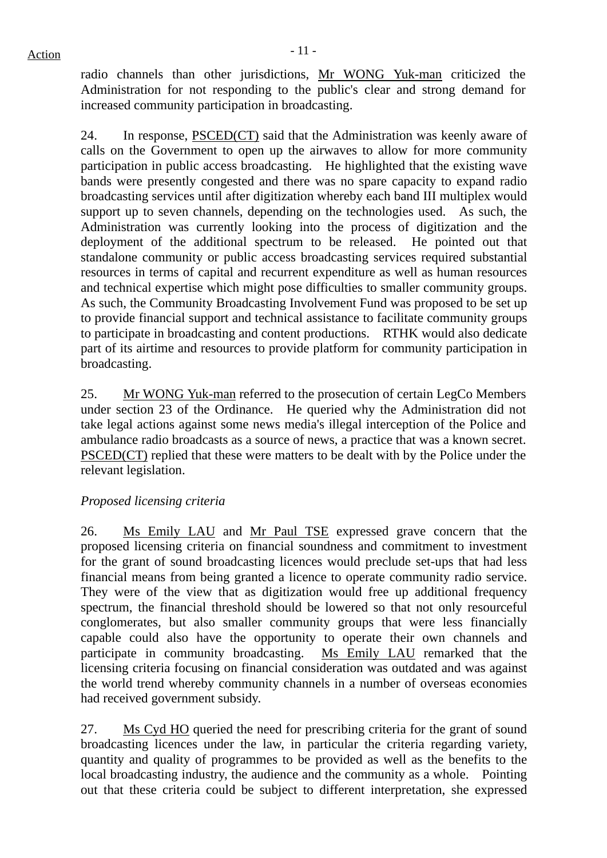radio channels than other jurisdictions, Mr WONG Yuk-man criticized the Administration for not responding to the public's clear and strong demand for increased community participation in broadcasting.

24. In response, PSCED(CT) said that the Administration was keenly aware of calls on the Government to open up the airwaves to allow for more community participation in public access broadcasting. He highlighted that the existing wave bands were presently congested and there was no spare capacity to expand radio broadcasting services until after digitization whereby each band III multiplex would support up to seven channels, depending on the technologies used. As such, the Administration was currently looking into the process of digitization and the deployment of the additional spectrum to be released. He pointed out that standalone community or public access broadcasting services required substantial resources in terms of capital and recurrent expenditure as well as human resources and technical expertise which might pose difficulties to smaller community groups. As such, the Community Broadcasting Involvement Fund was proposed to be set up to provide financial support and technical assistance to facilitate community groups to participate in broadcasting and content productions. RTHK would also dedicate part of its airtime and resources to provide platform for community participation in broadcasting.

25. Mr WONG Yuk-man referred to the prosecution of certain LegCo Members under section 23 of the Ordinance. He queried why the Administration did not take legal actions against some news media's illegal interception of the Police and ambulance radio broadcasts as a source of news, a practice that was a known secret. PSCED(CT) replied that these were matters to be dealt with by the Police under the relevant legislation.

#### *Proposed licensing criteria*

26. Ms Emily LAU and Mr Paul TSE expressed grave concern that the proposed licensing criteria on financial soundness and commitment to investment for the grant of sound broadcasting licences would preclude set-ups that had less financial means from being granted a licence to operate community radio service. They were of the view that as digitization would free up additional frequency spectrum, the financial threshold should be lowered so that not only resourceful conglomerates, but also smaller community groups that were less financially capable could also have the opportunity to operate their own channels and participate in community broadcasting. Ms Emily LAU remarked that the licensing criteria focusing on financial consideration was outdated and was against the world trend whereby community channels in a number of overseas economies had received government subsidy.

27. Ms Cyd HO queried the need for prescribing criteria for the grant of sound broadcasting licences under the law, in particular the criteria regarding variety, quantity and quality of programmes to be provided as well as the benefits to the local broadcasting industry, the audience and the community as a whole. Pointing out that these criteria could be subject to different interpretation, she expressed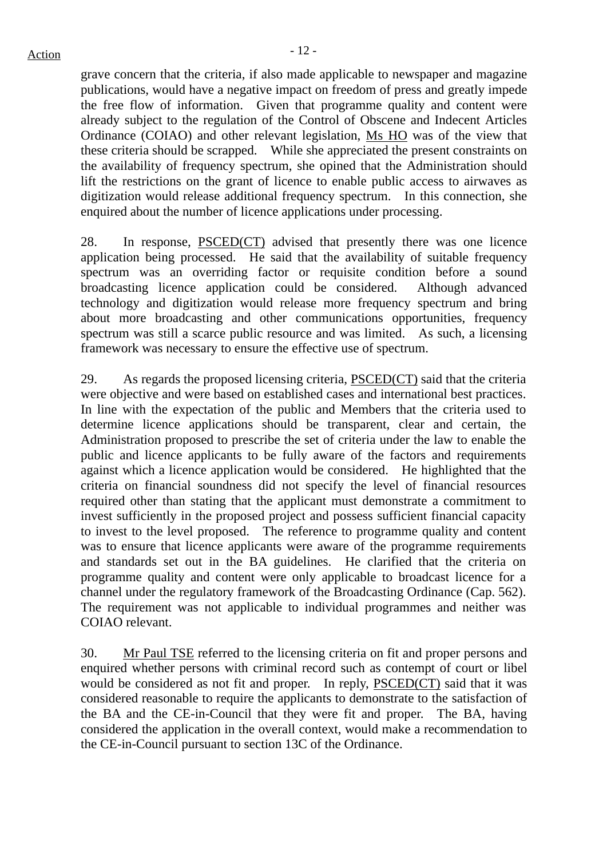grave concern that the criteria, if also made applicable to newspaper and magazine publications, would have a negative impact on freedom of press and greatly impede the free flow of information. Given that programme quality and content were already subject to the regulation of the Control of Obscene and Indecent Articles Ordinance (COIAO) and other relevant legislation, Ms HO was of the view that these criteria should be scrapped. While she appreciated the present constraints on the availability of frequency spectrum, she opined that the Administration should lift the restrictions on the grant of licence to enable public access to airwaves as digitization would release additional frequency spectrum. In this connection, she enquired about the number of licence applications under processing.

28. In response, PSCED(CT) advised that presently there was one licence application being processed. He said that the availability of suitable frequency spectrum was an overriding factor or requisite condition before a sound broadcasting licence application could be considered. Although advanced technology and digitization would release more frequency spectrum and bring about more broadcasting and other communications opportunities, frequency spectrum was still a scarce public resource and was limited. As such, a licensing framework was necessary to ensure the effective use of spectrum.

29. As regards the proposed licensing criteria, PSCED(CT) said that the criteria were objective and were based on established cases and international best practices. In line with the expectation of the public and Members that the criteria used to determine licence applications should be transparent, clear and certain, the Administration proposed to prescribe the set of criteria under the law to enable the public and licence applicants to be fully aware of the factors and requirements against which a licence application would be considered. He highlighted that the criteria on financial soundness did not specify the level of financial resources required other than stating that the applicant must demonstrate a commitment to invest sufficiently in the proposed project and possess sufficient financial capacity to invest to the level proposed. The reference to programme quality and content was to ensure that licence applicants were aware of the programme requirements and standards set out in the BA guidelines. He clarified that the criteria on programme quality and content were only applicable to broadcast licence for a channel under the regulatory framework of the Broadcasting Ordinance (Cap. 562). The requirement was not applicable to individual programmes and neither was COIAO relevant.

30. Mr Paul TSE referred to the licensing criteria on fit and proper persons and enquired whether persons with criminal record such as contempt of court or libel would be considered as not fit and proper. In reply, PSCED(CT) said that it was considered reasonable to require the applicants to demonstrate to the satisfaction of the BA and the CE-in-Council that they were fit and proper. The BA, having considered the application in the overall context, would make a recommendation to the CE-in-Council pursuant to section 13C of the Ordinance.